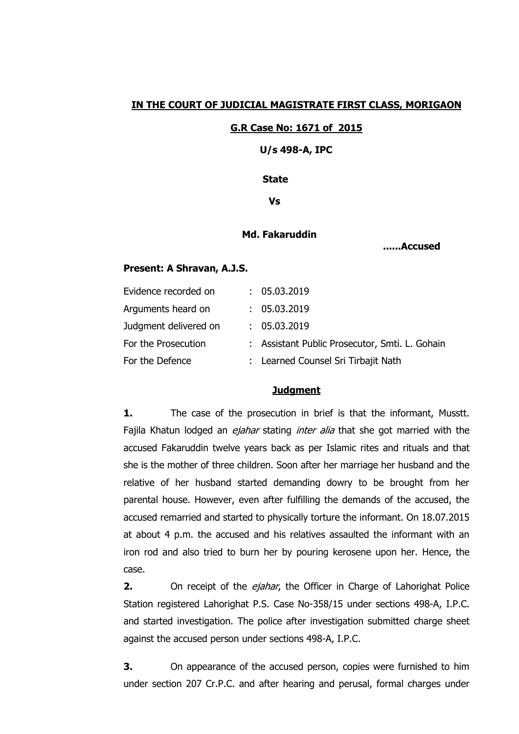## **IN THE COURT OF JUDICIAL MAGISTRATE FIRST CLASS, MORIGAON**

#### **G.R Case No: 1671 of 2015**

 **U/s 498-A, IPC**

#### **State**

 **Vs**

## **Md. Fakaruddin**

 **......Accused** 

#### **Present: A Shravan, A.J.S.**

| Evidence recorded on  | : 05.03.2019                                   |
|-----------------------|------------------------------------------------|
| Arguments heard on    | : 05.03.2019                                   |
| Judgment delivered on | : 05.03.2019                                   |
| For the Prosecution   | : Assistant Public Prosecutor, Smti. L. Gohain |
| For the Defence       | : Learned Counsel Sri Tirbajit Nath            |
|                       |                                                |

## **Judgment**

**1.** The case of the prosecution in brief is that the informant, Musstt. Fajila Khatun lodged an *ejahar* stating *inter alia* that she got married with the accused Fakaruddin twelve years back as per Islamic rites and rituals and that she is the mother of three children. Soon after her marriage her husband and the relative of her husband started demanding dowry to be brought from her parental house. However, even after fulfilling the demands of the accused, the accused remarried and started to physically torture the informant. On 18.07.2015 at about 4 p.m. the accused and his relatives assaulted the informant with an iron rod and also tried to burn her by pouring kerosene upon her. Hence, the case.

**2.** On receipt of the *ejahar*, the Officer in Charge of Lahorighat Police Station registered Lahorighat P.S. Case No-358/15 under sections 498-A, I.P.C. and started investigation. The police after investigation submitted charge sheet against the accused person under sections 498-A, I.P.C.

**3.** On appearance of the accused person, copies were furnished to him under section 207 Cr.P.C. and after hearing and perusal, formal charges under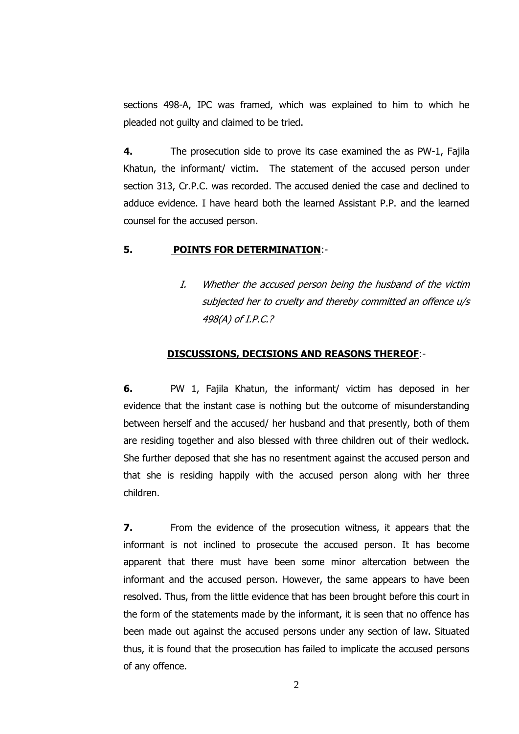sections 498-A, IPC was framed, which was explained to him to which he pleaded not guilty and claimed to be tried.

**4.** The prosecution side to prove its case examined the as PW-1, Fajila Khatun, the informant/ victim. The statement of the accused person under section 313, Cr.P.C. was recorded. The accused denied the case and declined to adduce evidence. I have heard both the learned Assistant P.P. and the learned counsel for the accused person.

### **5. POINTS FOR DETERMINATION**:-

I. Whether the accused person being the husband of the victim subjected her to cruelty and thereby committed an offence u/s 498(A) of I.P.C.?

#### **DISCUSSIONS, DECISIONS AND REASONS THEREOF**:-

**6.** PW 1, Fajila Khatun, the informant/ victim has deposed in her evidence that the instant case is nothing but the outcome of misunderstanding between herself and the accused/ her husband and that presently, both of them are residing together and also blessed with three children out of their wedlock. She further deposed that she has no resentment against the accused person and that she is residing happily with the accused person along with her three children.

**7.** From the evidence of the prosecution witness, it appears that the informant is not inclined to prosecute the accused person. It has become apparent that there must have been some minor altercation between the informant and the accused person. However, the same appears to have been resolved. Thus, from the little evidence that has been brought before this court in the form of the statements made by the informant, it is seen that no offence has been made out against the accused persons under any section of law. Situated thus, it is found that the prosecution has failed to implicate the accused persons of any offence.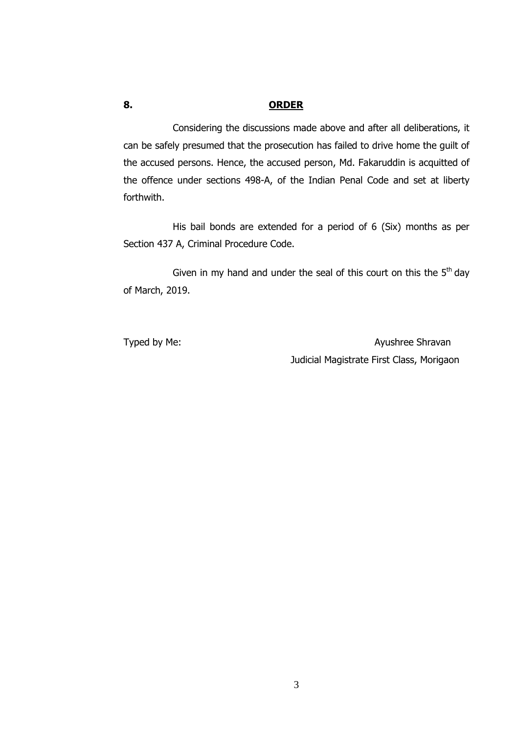# **8. ORDER**

Considering the discussions made above and after all deliberations, it can be safely presumed that the prosecution has failed to drive home the guilt of the accused persons. Hence, the accused person, Md. Fakaruddin is acquitted of the offence under sections 498-A, of the Indian Penal Code and set at liberty forthwith.

His bail bonds are extended for a period of 6 (Six) months as per Section 437 A, Criminal Procedure Code.

Given in my hand and under the seal of this court on this the  $5<sup>th</sup>$  day of March, 2019.

Typed by Me: Ayushree Shravan Judicial Magistrate First Class, Morigaon

3